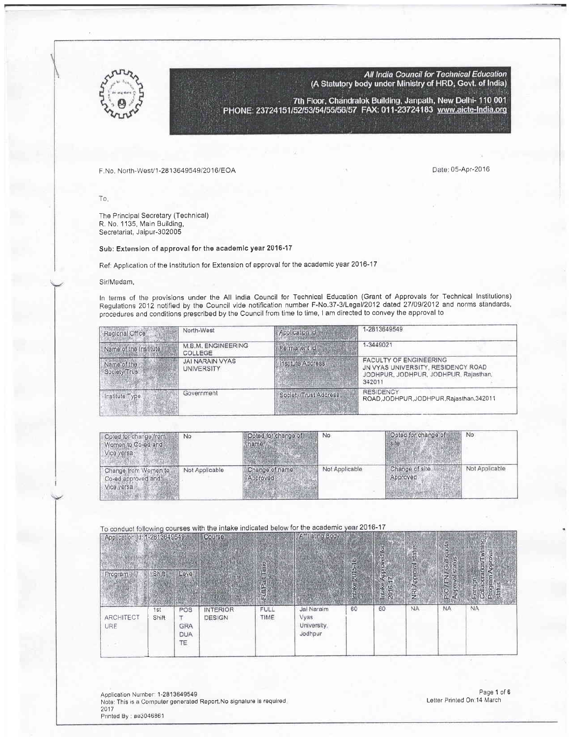

All India Council for Technical Education (A Statutory body under Ministry of HRD, Govt. of India)

7th Floor, Chandralok Building, Janpath, New Delhi- 110 001<br>PHONE: 23724151/52/53/54/55/56/57 FAX: 011-23724183 www.aicte-India.org

## F,No, North-WesUl-281 3649549/201 6/EOA 05-Apr-2016

-

To,

The Principal Secretary (Technical) R. No. 1135, Main Building, Secretariat, Jaipur-302005

## Sub: Extension of approval for the academic year 2016-17

Ref: Application of the Institution for Extension of approval for the academic year 2016-17

## Sir/Madam,

In terms of the provisions under the All India Council for Technical Education (Grant of Approvals for Technical Institutions) Regulations 2012 notified by the Council vide notification number F-No,37-3lLegall2012 datad 2710912012 and norms standards, procedures and conditions prescribed by the Council from time to time, I am directed to convey the approval to

| Regional Office              | North-West                           | Application id        | 1-2813649549                                                                                                           |
|------------------------------|--------------------------------------|-----------------------|------------------------------------------------------------------------------------------------------------------------|
| Name of the Institute.       | M.B.M. ENGINEERING<br>COLLEGE        | Permanent Id          | 1-3449021                                                                                                              |
| Name of the<br>Society/Trust | <b>JAI NARAIN VYAS</b><br>UNIVERSITY | Institute Address     | <b>FACULTY OF ENGINEERING</b><br>JN VYAS UNIVERSITY, RESIDENCY ROAD<br>JODHPUR, JODHPUR, JODHPUR, Rajasthan,<br>342011 |
| Institute Type               | Government                           | Society/Trust Address | <b>RESIDENCY</b><br>ROAD, JODHPUR, JODHPUR, Rajasthan, 342011                                                          |

| Opted for change from<br>Women to Co-ed and<br>Vice versa | No             | Opted for change of       | No             | Opted for change of<br>site <sup>®</sup> | No             |  |
|-----------------------------------------------------------|----------------|---------------------------|----------------|------------------------------------------|----------------|--|
| Change from Women to<br>Co-ed approved and<br>Vice versa  | Not Applicable | Change of name<br>pproved | Not Applicable | Change of site<br>Approved               | Not Applicable |  |

## To conduct following courses with the intake indicated below for the academic year 2016-17

| Application (d: 1-2813649549)<br>Program | Shift        | Level                                 | Course                    | lime<br>FullPart | Affiliating Body                             | $\overline{\omega}$<br>2015-<br>Intake | red for<br>Approv<br>17<br>Intake<br>2016- | status<br>NRI Approval | PIO / FN / Gulf quota<br>statu<br><b>revold</b> | wining,<br><b>Rvolddy</b><br>апопЛ<br>Program<br>slatus<br>Foreign<br>Collabor |
|------------------------------------------|--------------|---------------------------------------|---------------------------|------------------|----------------------------------------------|----------------------------------------|--------------------------------------------|------------------------|-------------------------------------------------|--------------------------------------------------------------------------------|
| <b>ARCHITECT</b><br><b>URE</b>           | 1st<br>Shift | POS<br><b>GRA</b><br><b>DUA</b><br>TE | <b>INTERIOR</b><br>DESIGN | FULL<br>TIME     | Jai Naraim<br>Vyas<br>University,<br>Jodhpur | 60                                     | 60                                         | <b>NA</b>              | <b>NA</b>                                       | <b>NA</b>                                                                      |

Application Number: 1-2813649549 Note: This is a Computer generated Report.No signature is required 2017<br>Printed By : ae3046861